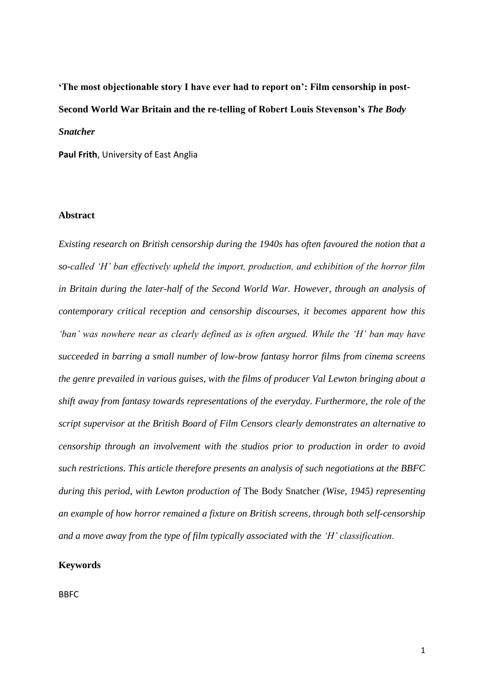# **'The most objectionable story I have ever had to report on': Film censorship in post-Second World War Britain and the re-telling of Robert Louis Stevenson's** *The Body Snatcher*

**Paul Frith**, University of East Anglia

#### **Abstract**

*Existing research on British censorship during the 1940s has often favoured the notion that a so-called 'H' ban effectively upheld the import, production, and exhibition of the horror film in Britain during the later-half of the Second World War. However, through an analysis of contemporary critical reception and censorship discourses, it becomes apparent how this 'ban' was nowhere near as clearly defined as is often argued. While the 'H' ban may have succeeded in barring a small number of low-brow fantasy horror films from cinema screens the genre prevailed in various guises, with the films of producer Val Lewton bringing about a shift away from fantasy towards representations of the everyday. Furthermore, the role of the script supervisor at the British Board of Film Censors clearly demonstrates an alternative to censorship through an involvement with the studios prior to production in order to avoid such restrictions. This article therefore presents an analysis of such negotiations at the BBFC during this period, with Lewton production of* The Body Snatcher *(Wise, 1945) representing an example of how horror remained a fixture on British screens, through both self-censorship and a move away from the type of film typically associated with the 'H' classification.* 

# **Keywords**

BBFC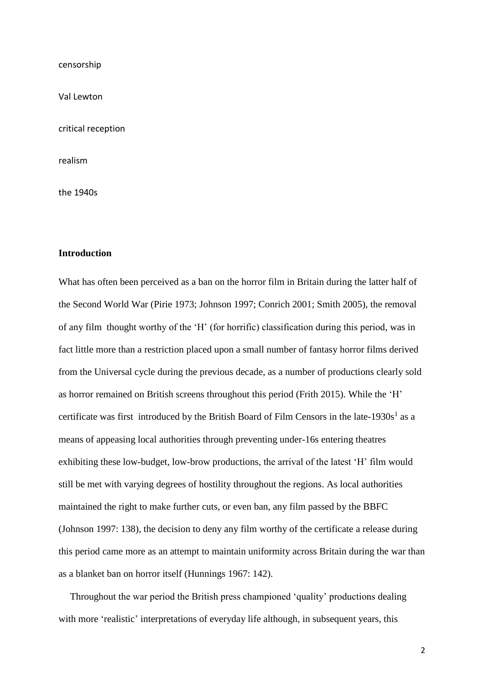censorship

Val Lewton

critical reception

realism

the 1940s

### **Introduction**

What has often been perceived as a ban on the horror film in Britain during the latter half of the Second World War (Pirie 1973; Johnson 1997; Conrich 2001; Smith 2005), the removal of any film thought worthy of the 'H' (for horrific) classification during this period, was in fact little more than a restriction placed upon a small number of fantasy horror films derived from the Universal cycle during the previous decade, as a number of productions clearly sold as horror remained on British screens throughout this period (Frith 2015). While the 'H' certificate was first introduced by the British Board of Film Censors in the late-1930s<sup>1</sup> as a means of appeasing local authorities through preventing under-16s entering theatres exhibiting these low-budget, low-brow productions, the arrival of the latest 'H' film would still be met with varying degrees of hostility throughout the regions. As local authorities maintained the right to make further cuts, or even ban, any film passed by the BBFC (Johnson 1997: 138), the decision to deny any film worthy of the certificate a release during this period came more as an attempt to maintain uniformity across Britain during the war than as a blanket ban on horror itself (Hunnings 1967: 142).

Throughout the war period the British press championed 'quality' productions dealing with more 'realistic' interpretations of everyday life although, in subsequent years, this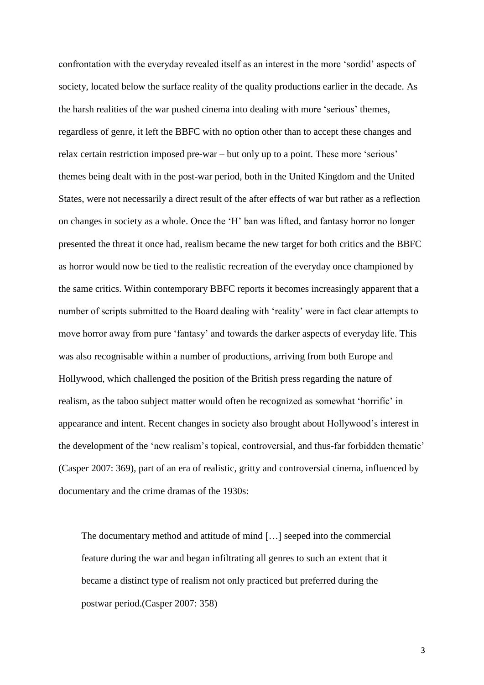confrontation with the everyday revealed itself as an interest in the more 'sordid' aspects of society, located below the surface reality of the quality productions earlier in the decade. As the harsh realities of the war pushed cinema into dealing with more 'serious' themes, regardless of genre, it left the BBFC with no option other than to accept these changes and relax certain restriction imposed pre-war – but only up to a point. These more 'serious' themes being dealt with in the post-war period, both in the United Kingdom and the United States, were not necessarily a direct result of the after effects of war but rather as a reflection on changes in society as a whole. Once the 'H' ban was lifted, and fantasy horror no longer presented the threat it once had, realism became the new target for both critics and the BBFC as horror would now be tied to the realistic recreation of the everyday once championed by the same critics. Within contemporary BBFC reports it becomes increasingly apparent that a number of scripts submitted to the Board dealing with 'reality' were in fact clear attempts to move horror away from pure 'fantasy' and towards the darker aspects of everyday life. This was also recognisable within a number of productions, arriving from both Europe and Hollywood, which challenged the position of the British press regarding the nature of realism, as the taboo subject matter would often be recognized as somewhat 'horrific' in appearance and intent. Recent changes in society also brought about Hollywood's interest in the development of the 'new realism's topical, controversial, and thus-far forbidden thematic' (Casper 2007: 369), part of an era of realistic, gritty and controversial cinema, influenced by documentary and the crime dramas of the 1930s:

The documentary method and attitude of mind […] seeped into the commercial feature during the war and began infiltrating all genres to such an extent that it became a distinct type of realism not only practiced but preferred during the postwar period.(Casper 2007: 358)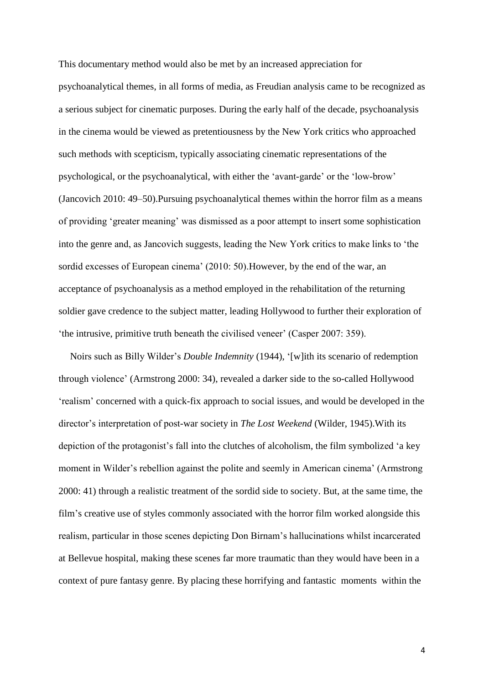This documentary method would also be met by an increased appreciation for psychoanalytical themes, in all forms of media, as Freudian analysis came to be recognized as a serious subject for cinematic purposes. During the early half of the decade, psychoanalysis in the cinema would be viewed as pretentiousness by the New York critics who approached such methods with scepticism, typically associating cinematic representations of the psychological, or the psychoanalytical, with either the 'avant-garde' or the 'low-brow' (Jancovich 2010: 49–50).Pursuing psychoanalytical themes within the horror film as a means of providing 'greater meaning' was dismissed as a poor attempt to insert some sophistication into the genre and, as Jancovich suggests, leading the New York critics to make links to 'the sordid excesses of European cinema' (2010: 50).However, by the end of the war, an acceptance of psychoanalysis as a method employed in the rehabilitation of the returning soldier gave credence to the subject matter, leading Hollywood to further their exploration of 'the intrusive, primitive truth beneath the civilised veneer' (Casper 2007: 359).

Noirs such as Billy Wilder's *Double Indemnity* (1944), '[w]ith its scenario of redemption through violence' (Armstrong 2000: 34), revealed a darker side to the so-called Hollywood 'realism' concerned with a quick-fix approach to social issues, and would be developed in the director's interpretation of post-war society in *The Lost Weekend* (Wilder, 1945).With its depiction of the protagonist's fall into the clutches of alcoholism, the film symbolized 'a key moment in Wilder's rebellion against the polite and seemly in American cinema' (Armstrong 2000: 41) through a realistic treatment of the sordid side to society. But, at the same time, the film's creative use of styles commonly associated with the horror film worked alongside this realism, particular in those scenes depicting Don Birnam's hallucinations whilst incarcerated at Bellevue hospital, making these scenes far more traumatic than they would have been in a context of pure fantasy genre. By placing these horrifying and fantastic moments within the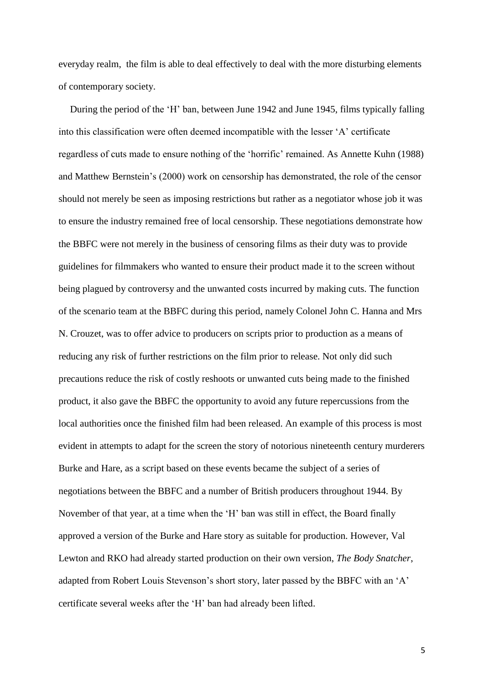everyday realm, the film is able to deal effectively to deal with the more disturbing elements of contemporary society.

During the period of the 'H' ban, between June 1942 and June 1945, films typically falling into this classification were often deemed incompatible with the lesser 'A' certificate regardless of cuts made to ensure nothing of the 'horrific' remained. As Annette Kuhn (1988) and Matthew Bernstein's (2000) work on censorship has demonstrated, the role of the censor should not merely be seen as imposing restrictions but rather as a negotiator whose job it was to ensure the industry remained free of local censorship. These negotiations demonstrate how the BBFC were not merely in the business of censoring films as their duty was to provide guidelines for filmmakers who wanted to ensure their product made it to the screen without being plagued by controversy and the unwanted costs incurred by making cuts. The function of the scenario team at the BBFC during this period, namely Colonel John C. Hanna and Mrs N. Crouzet, was to offer advice to producers on scripts prior to production as a means of reducing any risk of further restrictions on the film prior to release. Not only did such precautions reduce the risk of costly reshoots or unwanted cuts being made to the finished product, it also gave the BBFC the opportunity to avoid any future repercussions from the local authorities once the finished film had been released. An example of this process is most evident in attempts to adapt for the screen the story of notorious nineteenth century murderers Burke and Hare, as a script based on these events became the subject of a series of negotiations between the BBFC and a number of British producers throughout 1944. By November of that year, at a time when the 'H' ban was still in effect, the Board finally approved a version of the Burke and Hare story as suitable for production. However, Val Lewton and RKO had already started production on their own version, *The Body Snatcher*, adapted from Robert Louis Stevenson's short story, later passed by the BBFC with an 'A' certificate several weeks after the 'H' ban had already been lifted.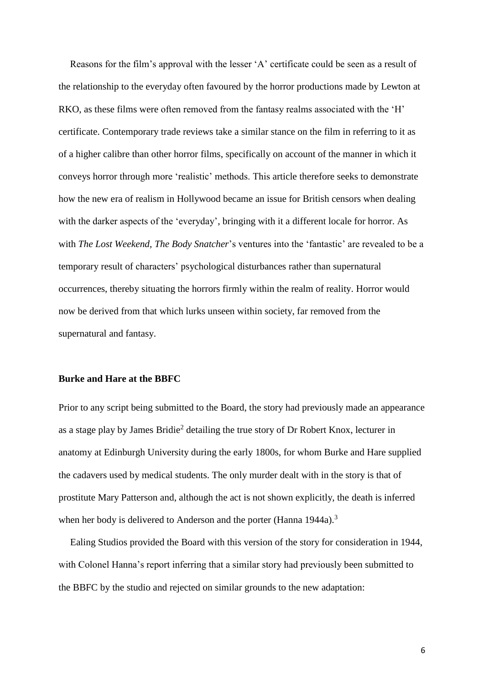Reasons for the film's approval with the lesser 'A' certificate could be seen as a result of the relationship to the everyday often favoured by the horror productions made by Lewton at RKO, as these films were often removed from the fantasy realms associated with the 'H' certificate. Contemporary trade reviews take a similar stance on the film in referring to it as of a higher calibre than other horror films, specifically on account of the manner in which it conveys horror through more 'realistic' methods. This article therefore seeks to demonstrate how the new era of realism in Hollywood became an issue for British censors when dealing with the darker aspects of the 'everyday', bringing with it a different locale for horror. As with *The Lost Weekend*, *The Body Snatcher*'s ventures into the 'fantastic' are revealed to be a temporary result of characters' psychological disturbances rather than supernatural occurrences, thereby situating the horrors firmly within the realm of reality. Horror would now be derived from that which lurks unseen within society, far removed from the supernatural and fantasy.

#### **Burke and Hare at the BBFC**

Prior to any script being submitted to the Board, the story had previously made an appearance as a stage play by James Bridie<sup>2</sup> detailing the true story of Dr Robert Knox, lecturer in anatomy at Edinburgh University during the early 1800s, for whom Burke and Hare supplied the cadavers used by medical students. The only murder dealt with in the story is that of prostitute Mary Patterson and, although the act is not shown explicitly, the death is inferred when her body is delivered to Anderson and the porter (Hanna 1944a).<sup>3</sup>

Ealing Studios provided the Board with this version of the story for consideration in 1944, with Colonel Hanna's report inferring that a similar story had previously been submitted to the BBFC by the studio and rejected on similar grounds to the new adaptation: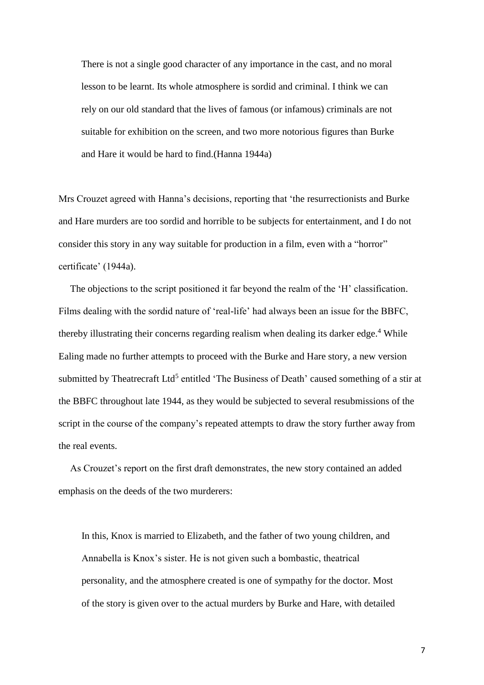There is not a single good character of any importance in the cast, and no moral lesson to be learnt. Its whole atmosphere is sordid and criminal. I think we can rely on our old standard that the lives of famous (or infamous) criminals are not suitable for exhibition on the screen, and two more notorious figures than Burke and Hare it would be hard to find.(Hanna 1944a)

Mrs Crouzet agreed with Hanna's decisions, reporting that 'the resurrectionists and Burke and Hare murders are too sordid and horrible to be subjects for entertainment, and I do not consider this story in any way suitable for production in a film, even with a "horror" certificate' (1944a).

The objections to the script positioned it far beyond the realm of the 'H' classification. Films dealing with the sordid nature of 'real-life' had always been an issue for the BBFC, thereby illustrating their concerns regarding realism when dealing its darker edge.<sup>4</sup> While Ealing made no further attempts to proceed with the Burke and Hare story, a new version submitted by Theatrecraft Ltd<sup>5</sup> entitled 'The Business of Death' caused something of a stir at the BBFC throughout late 1944, as they would be subjected to several resubmissions of the script in the course of the company's repeated attempts to draw the story further away from the real events.

As Crouzet's report on the first draft demonstrates, the new story contained an added emphasis on the deeds of the two murderers:

In this, Knox is married to Elizabeth, and the father of two young children, and Annabella is Knox's sister. He is not given such a bombastic, theatrical personality, and the atmosphere created is one of sympathy for the doctor. Most of the story is given over to the actual murders by Burke and Hare, with detailed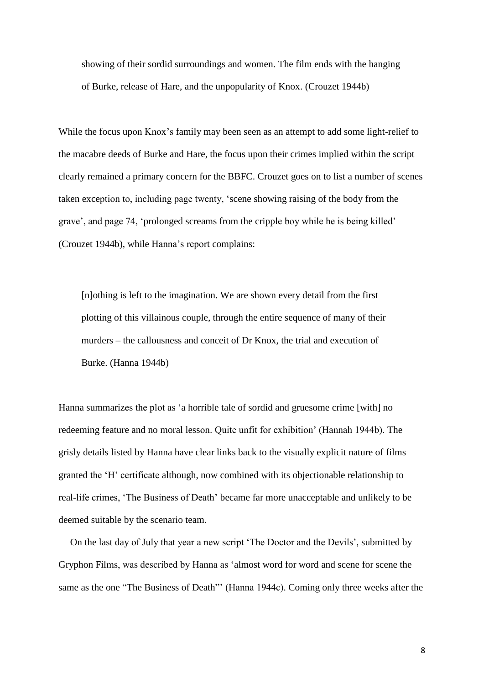showing of their sordid surroundings and women. The film ends with the hanging of Burke, release of Hare, and the unpopularity of Knox. (Crouzet 1944b)

While the focus upon Knox's family may been seen as an attempt to add some light-relief to the macabre deeds of Burke and Hare, the focus upon their crimes implied within the script clearly remained a primary concern for the BBFC. Crouzet goes on to list a number of scenes taken exception to, including page twenty, 'scene showing raising of the body from the grave', and page 74, 'prolonged screams from the cripple boy while he is being killed' (Crouzet 1944b), while Hanna's report complains:

[n]othing is left to the imagination. We are shown every detail from the first plotting of this villainous couple, through the entire sequence of many of their murders – the callousness and conceit of Dr Knox, the trial and execution of Burke. (Hanna 1944b)

Hanna summarizes the plot as 'a horrible tale of sordid and gruesome crime [with] no redeeming feature and no moral lesson. Quite unfit for exhibition' (Hannah 1944b). The grisly details listed by Hanna have clear links back to the visually explicit nature of films granted the 'H' certificate although, now combined with its objectionable relationship to real-life crimes, 'The Business of Death' became far more unacceptable and unlikely to be deemed suitable by the scenario team.

On the last day of July that year a new script 'The Doctor and the Devils', submitted by Gryphon Films, was described by Hanna as 'almost word for word and scene for scene the same as the one "The Business of Death"' (Hanna 1944c). Coming only three weeks after the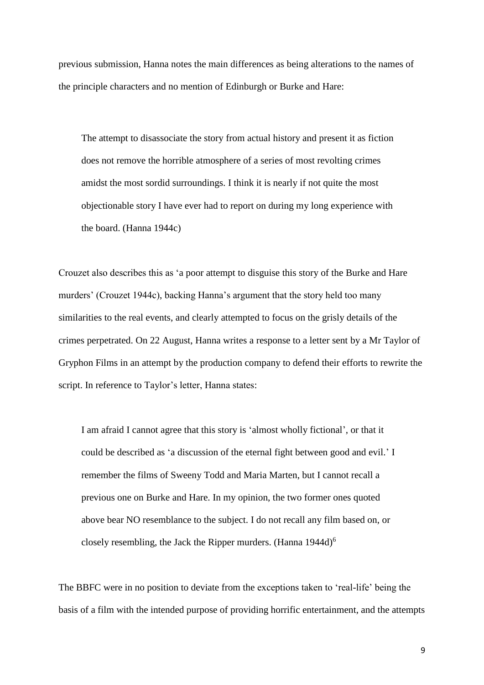previous submission, Hanna notes the main differences as being alterations to the names of the principle characters and no mention of Edinburgh or Burke and Hare:

The attempt to disassociate the story from actual history and present it as fiction does not remove the horrible atmosphere of a series of most revolting crimes amidst the most sordid surroundings. I think it is nearly if not quite the most objectionable story I have ever had to report on during my long experience with the board. (Hanna 1944c)

Crouzet also describes this as 'a poor attempt to disguise this story of the Burke and Hare murders' (Crouzet 1944c), backing Hanna's argument that the story held too many similarities to the real events, and clearly attempted to focus on the grisly details of the crimes perpetrated. On 22 August, Hanna writes a response to a letter sent by a Mr Taylor of Gryphon Films in an attempt by the production company to defend their efforts to rewrite the script. In reference to Taylor's letter, Hanna states:

I am afraid I cannot agree that this story is 'almost wholly fictional', or that it could be described as 'a discussion of the eternal fight between good and evil.' I remember the films of Sweeny Todd and Maria Marten, but I cannot recall a previous one on Burke and Hare. In my opinion, the two former ones quoted above bear NO resemblance to the subject. I do not recall any film based on, or closely resembling, the Jack the Ripper murders. (Hanna 1944d) 6

The BBFC were in no position to deviate from the exceptions taken to 'real-life' being the basis of a film with the intended purpose of providing horrific entertainment, and the attempts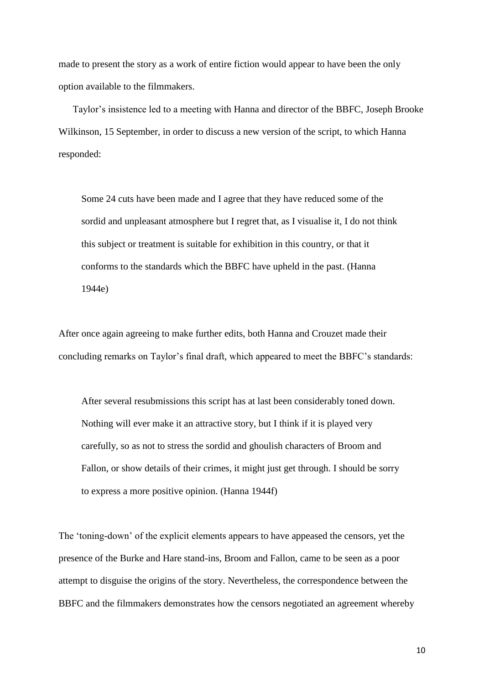made to present the story as a work of entire fiction would appear to have been the only option available to the filmmakers.

Taylor's insistence led to a meeting with Hanna and director of the BBFC, Joseph Brooke Wilkinson, 15 September, in order to discuss a new version of the script, to which Hanna responded:

Some 24 cuts have been made and I agree that they have reduced some of the sordid and unpleasant atmosphere but I regret that, as I visualise it, I do not think this subject or treatment is suitable for exhibition in this country, or that it conforms to the standards which the BBFC have upheld in the past. (Hanna 1944e)

After once again agreeing to make further edits, both Hanna and Crouzet made their concluding remarks on Taylor's final draft, which appeared to meet the BBFC's standards:

After several resubmissions this script has at last been considerably toned down. Nothing will ever make it an attractive story, but I think if it is played very carefully, so as not to stress the sordid and ghoulish characters of Broom and Fallon, or show details of their crimes, it might just get through. I should be sorry to express a more positive opinion. (Hanna 1944f)

The 'toning-down' of the explicit elements appears to have appeased the censors, yet the presence of the Burke and Hare stand-ins, Broom and Fallon, came to be seen as a poor attempt to disguise the origins of the story. Nevertheless, the correspondence between the BBFC and the filmmakers demonstrates how the censors negotiated an agreement whereby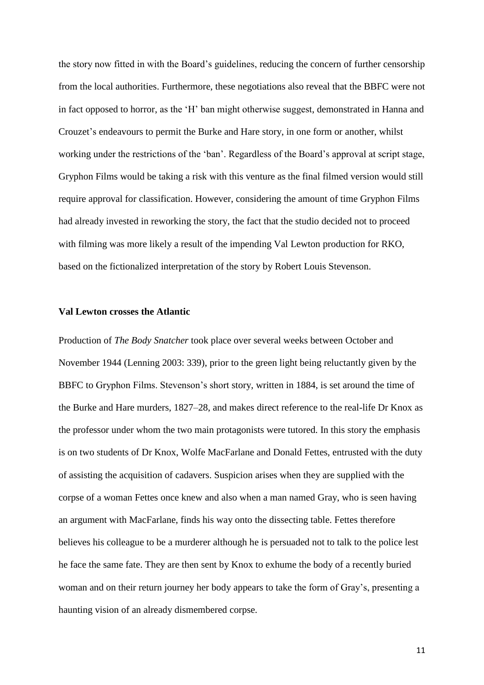the story now fitted in with the Board's guidelines, reducing the concern of further censorship from the local authorities. Furthermore, these negotiations also reveal that the BBFC were not in fact opposed to horror, as the 'H' ban might otherwise suggest, demonstrated in Hanna and Crouzet's endeavours to permit the Burke and Hare story, in one form or another, whilst working under the restrictions of the 'ban'. Regardless of the Board's approval at script stage, Gryphon Films would be taking a risk with this venture as the final filmed version would still require approval for classification. However, considering the amount of time Gryphon Films had already invested in reworking the story, the fact that the studio decided not to proceed with filming was more likely a result of the impending Val Lewton production for RKO, based on the fictionalized interpretation of the story by Robert Louis Stevenson.

#### **Val Lewton crosses the Atlantic**

Production of *The Body Snatcher* took place over several weeks between October and November 1944 (Lenning 2003: 339), prior to the green light being reluctantly given by the BBFC to Gryphon Films. Stevenson's short story, written in 1884, is set around the time of the Burke and Hare murders, 1827–28, and makes direct reference to the real-life Dr Knox as the professor under whom the two main protagonists were tutored. In this story the emphasis is on two students of Dr Knox, Wolfe MacFarlane and Donald Fettes, entrusted with the duty of assisting the acquisition of cadavers. Suspicion arises when they are supplied with the corpse of a woman Fettes once knew and also when a man named Gray, who is seen having an argument with MacFarlane, finds his way onto the dissecting table. Fettes therefore believes his colleague to be a murderer although he is persuaded not to talk to the police lest he face the same fate. They are then sent by Knox to exhume the body of a recently buried woman and on their return journey her body appears to take the form of Gray's, presenting a haunting vision of an already dismembered corpse.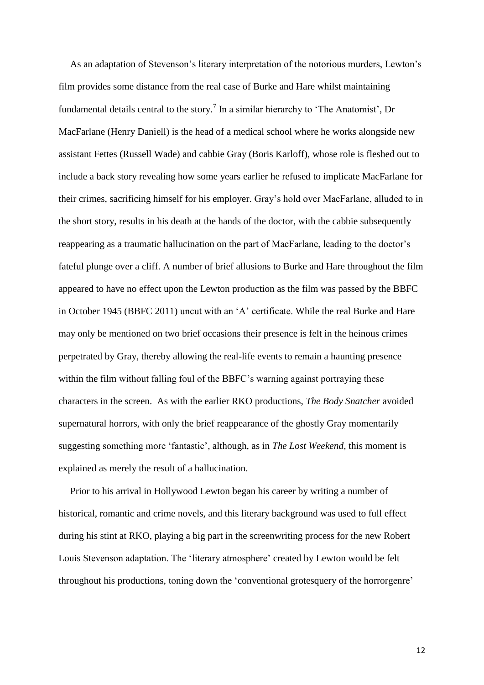As an adaptation of Stevenson's literary interpretation of the notorious murders, Lewton's film provides some distance from the real case of Burke and Hare whilst maintaining fundamental details central to the story.<sup>7</sup> In a similar hierarchy to 'The Anatomist', Dr MacFarlane (Henry Daniell) is the head of a medical school where he works alongside new assistant Fettes (Russell Wade) and cabbie Gray (Boris Karloff), whose role is fleshed out to include a back story revealing how some years earlier he refused to implicate MacFarlane for their crimes, sacrificing himself for his employer. Gray's hold over MacFarlane, alluded to in the short story, results in his death at the hands of the doctor, with the cabbie subsequently reappearing as a traumatic hallucination on the part of MacFarlane, leading to the doctor's fateful plunge over a cliff. A number of brief allusions to Burke and Hare throughout the film appeared to have no effect upon the Lewton production as the film was passed by the BBFC in October 1945 (BBFC 2011) uncut with an 'A' certificate. While the real Burke and Hare may only be mentioned on two brief occasions their presence is felt in the heinous crimes perpetrated by Gray, thereby allowing the real-life events to remain a haunting presence within the film without falling foul of the BBFC's warning against portraying these characters in the screen. As with the earlier RKO productions, *The Body Snatcher* avoided supernatural horrors, with only the brief reappearance of the ghostly Gray momentarily suggesting something more 'fantastic', although, as in *The Lost Weekend*, this moment is explained as merely the result of a hallucination.

Prior to his arrival in Hollywood Lewton began his career by writing a number of historical, romantic and crime novels, and this literary background was used to full effect during his stint at RKO, playing a big part in the screenwriting process for the new Robert Louis Stevenson adaptation. The 'literary atmosphere' created by Lewton would be felt throughout his productions, toning down the 'conventional grotesquery of the horrorgenre'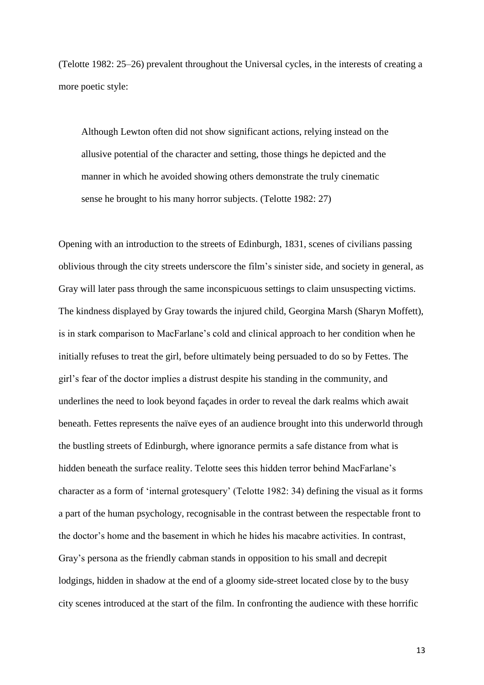(Telotte 1982: 25–26) prevalent throughout the Universal cycles, in the interests of creating a more poetic style:

Although Lewton often did not show significant actions, relying instead on the allusive potential of the character and setting, those things he depicted and the manner in which he avoided showing others demonstrate the truly cinematic sense he brought to his many horror subjects. (Telotte 1982: 27)

Opening with an introduction to the streets of Edinburgh, 1831, scenes of civilians passing oblivious through the city streets underscore the film's sinister side, and society in general, as Gray will later pass through the same inconspicuous settings to claim unsuspecting victims. The kindness displayed by Gray towards the injured child, Georgina Marsh (Sharyn Moffett), is in stark comparison to MacFarlane's cold and clinical approach to her condition when he initially refuses to treat the girl, before ultimately being persuaded to do so by Fettes. The girl's fear of the doctor implies a distrust despite his standing in the community, and underlines the need to look beyond façades in order to reveal the dark realms which await beneath. Fettes represents the naïve eyes of an audience brought into this underworld through the bustling streets of Edinburgh, where ignorance permits a safe distance from what is hidden beneath the surface reality. Telotte sees this hidden terror behind MacFarlane's character as a form of 'internal grotesquery' (Telotte 1982: 34) defining the visual as it forms a part of the human psychology, recognisable in the contrast between the respectable front to the doctor's home and the basement in which he hides his macabre activities. In contrast, Gray's persona as the friendly cabman stands in opposition to his small and decrepit lodgings, hidden in shadow at the end of a gloomy side-street located close by to the busy city scenes introduced at the start of the film. In confronting the audience with these horrific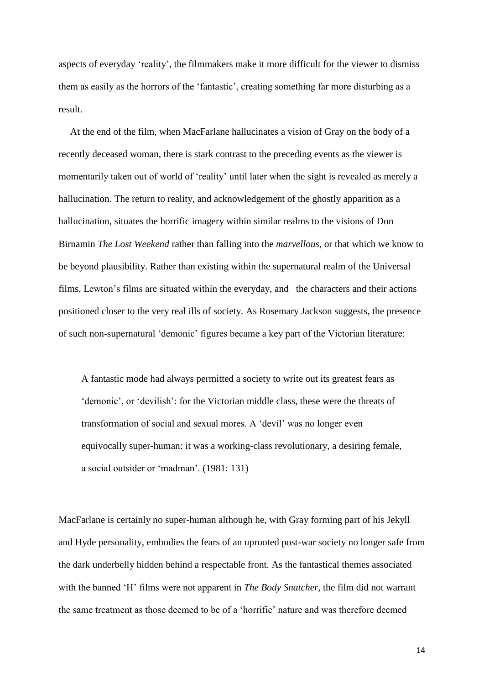aspects of everyday 'reality', the filmmakers make it more difficult for the viewer to dismiss them as easily as the horrors of the 'fantastic', creating something far more disturbing as a result.

At the end of the film, when MacFarlane hallucinates a vision of Gray on the body of a recently deceased woman, there is stark contrast to the preceding events as the viewer is momentarily taken out of world of 'reality' until later when the sight is revealed as merely a hallucination. The return to reality, and acknowledgement of the ghostly apparition as a hallucination, situates the horrific imagery within similar realms to the visions of Don Birnamin *The Lost Weekend* rather than falling into the *marvellous*, or that which we know to be beyond plausibility. Rather than existing within the supernatural realm of the Universal films, Lewton's films are situated within the everyday, and the characters and their actions positioned closer to the very real ills of society. As Rosemary Jackson suggests, the presence of such non-supernatural 'demonic' figures became a key part of the Victorian literature:

A fantastic mode had always permitted a society to write out its greatest fears as 'demonic', or 'devilish': for the Victorian middle class, these were the threats of transformation of social and sexual mores. A 'devil' was no longer even equivocally super-human: it was a working-class revolutionary, a desiring female, a social outsider or 'madman'. (1981: 131)

MacFarlane is certainly no super-human although he, with Gray forming part of his Jekyll and Hyde personality, embodies the fears of an uprooted post-war society no longer safe from the dark underbelly hidden behind a respectable front. As the fantastical themes associated with the banned 'H' films were not apparent in *The Body Snatcher*, the film did not warrant the same treatment as those deemed to be of a 'horrific' nature and was therefore deemed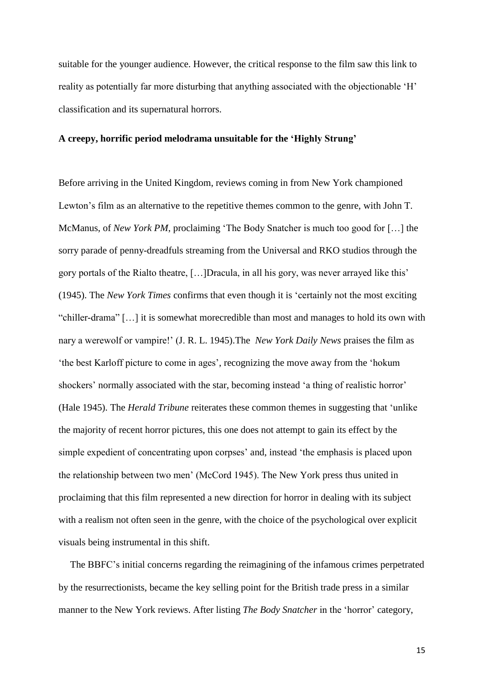suitable for the younger audience. However, the critical response to the film saw this link to reality as potentially far more disturbing that anything associated with the objectionable 'H' classification and its supernatural horrors.

# **A creepy, horrific period melodrama unsuitable for the 'Highly Strung'**

Before arriving in the United Kingdom, reviews coming in from New York championed Lewton's film as an alternative to the repetitive themes common to the genre, with John T. McManus, of *New York PM*, proclaiming 'The Body Snatcher is much too good for […] the sorry parade of penny-dreadfuls streaming from the Universal and RKO studios through the gory portals of the Rialto theatre, […]Dracula, in all his gory, was never arrayed like this' (1945). The *New York Times* confirms that even though it is 'certainly not the most exciting "chiller-drama" […] it is somewhat morecredible than most and manages to hold its own with nary a werewolf or vampire!' (J. R. L. 1945).The *New York Daily News* praises the film as 'the best Karloff picture to come in ages', recognizing the move away from the 'hokum shockers' normally associated with the star, becoming instead 'a thing of realistic horror' (Hale 1945). The *Herald Tribune* reiterates these common themes in suggesting that 'unlike the majority of recent horror pictures, this one does not attempt to gain its effect by the simple expedient of concentrating upon corpses' and, instead 'the emphasis is placed upon the relationship between two men' (McCord 1945). The New York press thus united in proclaiming that this film represented a new direction for horror in dealing with its subject with a realism not often seen in the genre, with the choice of the psychological over explicit visuals being instrumental in this shift.

The BBFC's initial concerns regarding the reimagining of the infamous crimes perpetrated by the resurrectionists, became the key selling point for the British trade press in a similar manner to the New York reviews. After listing *The Body Snatcher* in the 'horror' category,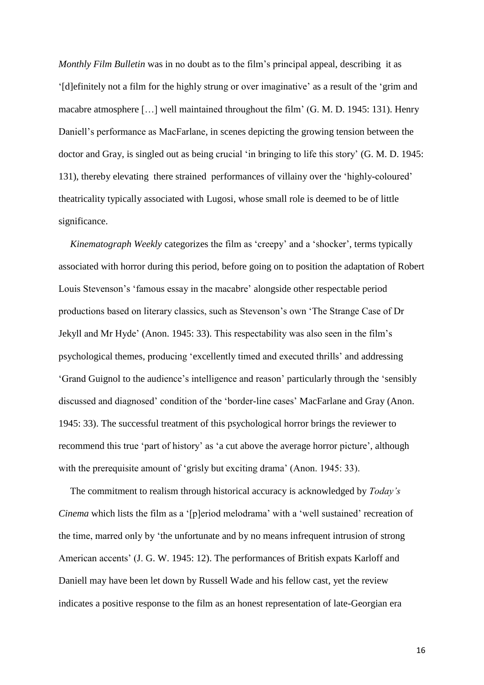*Monthly Film Bulletin* was in no doubt as to the film's principal appeal, describing it as '[d]efinitely not a film for the highly strung or over imaginative' as a result of the 'grim and macabre atmosphere […] well maintained throughout the film' (G. M. D. 1945: 131). Henry Daniell's performance as MacFarlane, in scenes depicting the growing tension between the doctor and Gray, is singled out as being crucial 'in bringing to life this story' (G. M. D. 1945: 131), thereby elevating there strained performances of villainy over the 'highly-coloured' theatricality typically associated with Lugosi, whose small role is deemed to be of little significance.

*Kinematograph Weekly* categorizes the film as 'creepy' and a 'shocker', terms typically associated with horror during this period, before going on to position the adaptation of Robert Louis Stevenson's 'famous essay in the macabre' alongside other respectable period productions based on literary classics, such as Stevenson's own 'The Strange Case of Dr Jekyll and Mr Hyde' (Anon. 1945: 33). This respectability was also seen in the film's psychological themes, producing 'excellently timed and executed thrills' and addressing 'Grand Guignol to the audience's intelligence and reason' particularly through the 'sensibly discussed and diagnosed' condition of the 'border-line cases' MacFarlane and Gray (Anon. 1945: 33). The successful treatment of this psychological horror brings the reviewer to recommend this true 'part of history' as 'a cut above the average horror picture', although with the prerequisite amount of 'grisly but exciting drama' (Anon. 1945: 33).

The commitment to realism through historical accuracy is acknowledged by *Today's Cinema* which lists the film as a '[p]eriod melodrama' with a 'well sustained' recreation of the time, marred only by 'the unfortunate and by no means infrequent intrusion of strong American accents' (J. G. W. 1945: 12). The performances of British expats Karloff and Daniell may have been let down by Russell Wade and his fellow cast, yet the review indicates a positive response to the film as an honest representation of late-Georgian era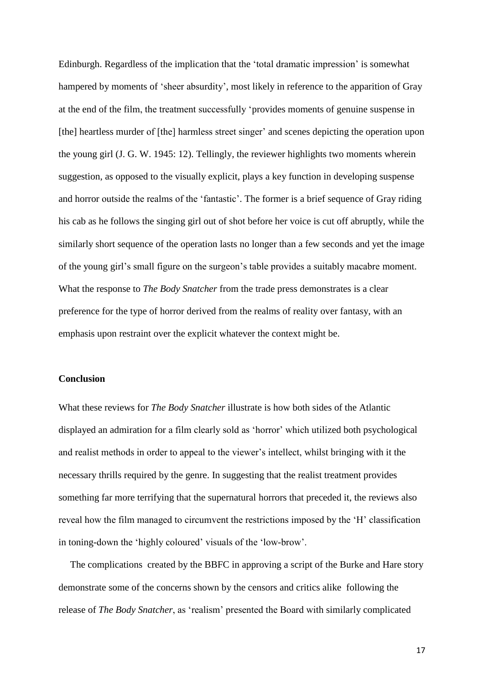Edinburgh. Regardless of the implication that the 'total dramatic impression' is somewhat hampered by moments of 'sheer absurdity', most likely in reference to the apparition of Gray at the end of the film, the treatment successfully 'provides moments of genuine suspense in [the] heartless murder of [the] harmless street singer' and scenes depicting the operation upon the young girl (J. G. W. 1945: 12). Tellingly, the reviewer highlights two moments wherein suggestion, as opposed to the visually explicit, plays a key function in developing suspense and horror outside the realms of the 'fantastic'. The former is a brief sequence of Gray riding his cab as he follows the singing girl out of shot before her voice is cut off abruptly, while the similarly short sequence of the operation lasts no longer than a few seconds and yet the image of the young girl's small figure on the surgeon's table provides a suitably macabre moment. What the response to *The Body Snatcher* from the trade press demonstrates is a clear preference for the type of horror derived from the realms of reality over fantasy, with an emphasis upon restraint over the explicit whatever the context might be.

# **Conclusion**

What these reviews for *The Body Snatcher* illustrate is how both sides of the Atlantic displayed an admiration for a film clearly sold as 'horror' which utilized both psychological and realist methods in order to appeal to the viewer's intellect, whilst bringing with it the necessary thrills required by the genre. In suggesting that the realist treatment provides something far more terrifying that the supernatural horrors that preceded it, the reviews also reveal how the film managed to circumvent the restrictions imposed by the 'H' classification in toning-down the 'highly coloured' visuals of the 'low-brow'.

The complications created by the BBFC in approving a script of the Burke and Hare story demonstrate some of the concerns shown by the censors and critics alike following the release of *The Body Snatcher*, as 'realism' presented the Board with similarly complicated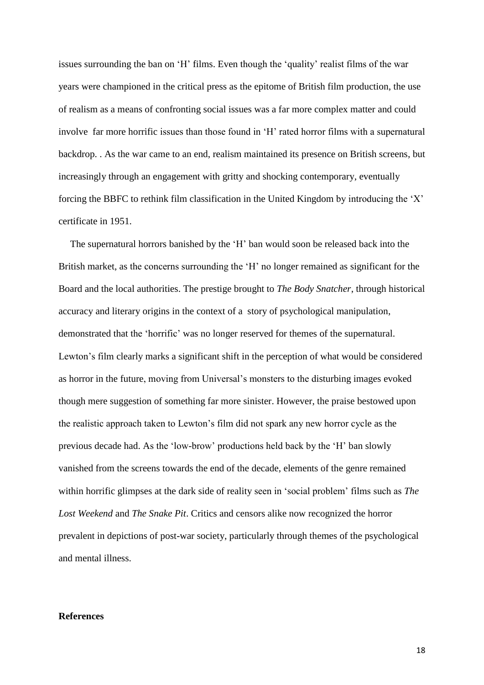issues surrounding the ban on 'H' films. Even though the 'quality' realist films of the war years were championed in the critical press as the epitome of British film production, the use of realism as a means of confronting social issues was a far more complex matter and could involve far more horrific issues than those found in 'H' rated horror films with a supernatural backdrop. . As the war came to an end, realism maintained its presence on British screens, but increasingly through an engagement with gritty and shocking contemporary, eventually forcing the BBFC to rethink film classification in the United Kingdom by introducing the 'X' certificate in 1951.

The supernatural horrors banished by the 'H' ban would soon be released back into the British market, as the concerns surrounding the 'H' no longer remained as significant for the Board and the local authorities. The prestige brought to *The Body Snatcher*, through historical accuracy and literary origins in the context of a story of psychological manipulation, demonstrated that the 'horrific' was no longer reserved for themes of the supernatural. Lewton's film clearly marks a significant shift in the perception of what would be considered as horror in the future, moving from Universal's monsters to the disturbing images evoked though mere suggestion of something far more sinister. However, the praise bestowed upon the realistic approach taken to Lewton's film did not spark any new horror cycle as the previous decade had. As the 'low-brow' productions held back by the 'H' ban slowly vanished from the screens towards the end of the decade, elements of the genre remained within horrific glimpses at the dark side of reality seen in 'social problem' films such as *The Lost Weekend* and *The Snake Pit*. Critics and censors alike now recognized the horror prevalent in depictions of post-war society, particularly through themes of the psychological and mental illness.

#### **References**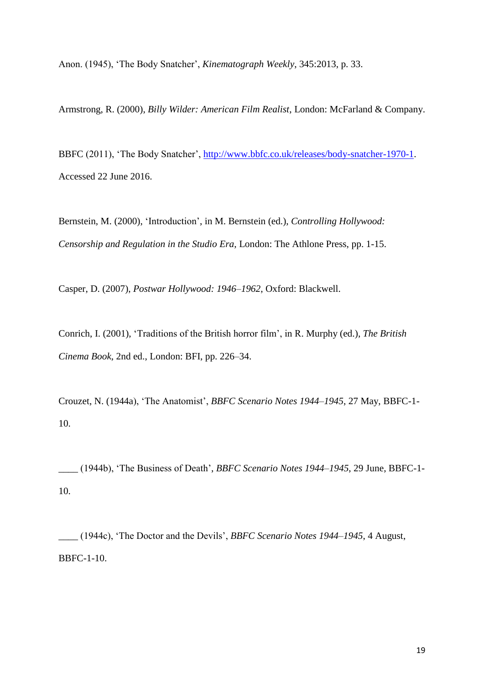Anon. (1945), 'The Body Snatcher', *Kinematograph Weekly*, 345:2013, p. 33.

Armstrong, R. (2000), *Billy Wilder: American Film Realist*, London: McFarland & Company.

BBFC (2011), 'The Body Snatcher', [http://www.bbfc.co.uk/releases/body-snatcher-1970-1.](http://www.bbfc.co.uk/releases/body-snatcher-1970-1) Accessed 22 June 2016.

Bernstein, M. (2000), 'Introduction', in M. Bernstein (ed.), *Controlling Hollywood: Censorship and Regulation in the Studio Era*, London: The Athlone Press, pp. 1-15.

Casper, D. (2007), *Postwar Hollywood: 1946–1962*, Oxford: Blackwell.

Conrich, I. (2001), 'Traditions of the British horror film', in R. Murphy (ed.), *The British Cinema Book*, 2nd ed., London: BFI, pp. 226–34.

Crouzet, N. (1944a), 'The Anatomist', *BBFC Scenario Notes 1944–1945*, 27 May, BBFC-1- 10.

\_\_\_\_ (1944b), 'The Business of Death', *BBFC Scenario Notes 1944–1945*, 29 June, BBFC-1- 10.

\_\_\_\_ (1944c), 'The Doctor and the Devils', *BBFC Scenario Notes 1944–1945*, 4 August, BBFC-1-10.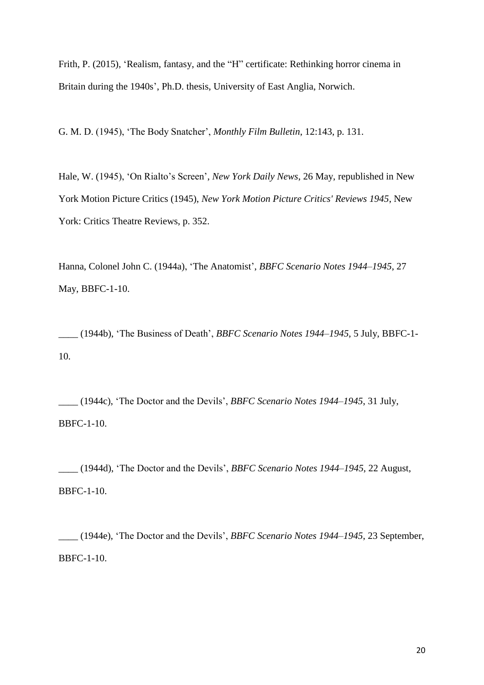Frith, P. (2015), 'Realism, fantasy, and the "H" certificate: Rethinking horror cinema in Britain during the 1940s', Ph.D. thesis, University of East Anglia, Norwich.

G. M. D. (1945), 'The Body Snatcher', *Monthly Film Bulletin*, 12:143, p. 131.

Hale, W. (1945), 'On Rialto's Screen', *New York Daily News*, 26 May, republished in New York Motion Picture Critics (1945), *New York Motion Picture Critics' Reviews 1945*, New York: Critics Theatre Reviews, p. 352.

Hanna, Colonel John C. (1944a), 'The Anatomist', *BBFC Scenario Notes 1944–1945*, 27 May, BBFC-1-10.

\_\_\_\_ (1944b), 'The Business of Death', *BBFC Scenario Notes 1944–1945*, 5 July, BBFC-1- 10.

\_\_\_\_ (1944c), 'The Doctor and the Devils', *BBFC Scenario Notes 1944–1945*, 31 July, BBFC-1-10.

\_\_\_\_ (1944d), 'The Doctor and the Devils', *BBFC Scenario Notes 1944–1945*, 22 August, BBFC-1-10.

\_\_\_\_ (1944e), 'The Doctor and the Devils', *BBFC Scenario Notes 1944–1945*, 23 September, BBFC-1-10.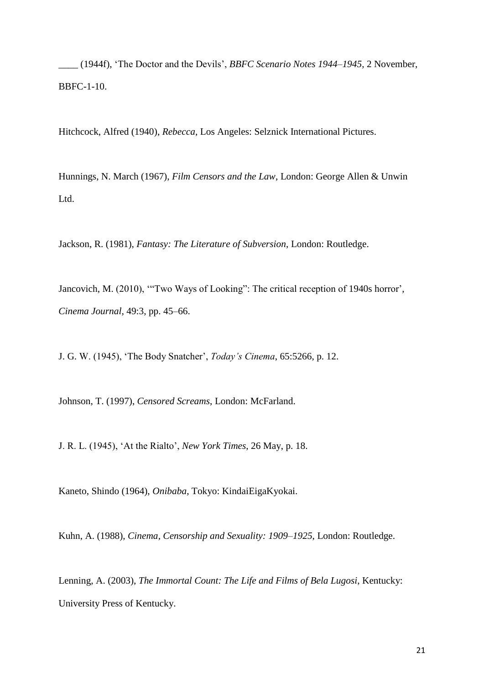\_\_\_\_ (1944f), 'The Doctor and the Devils', *BBFC Scenario Notes 1944–1945*, 2 November, BBFC-1-10.

Hitchcock, Alfred (1940), *Rebecca*, Los Angeles: Selznick International Pictures.

Hunnings, N. March (1967), *Film Censors and the Law*, London: George Allen & Unwin Ltd.

Jackson, R. (1981), *Fantasy: The Literature of Subversion*, London: Routledge.

Jancovich, M. (2010), '"Two Ways of Looking": The critical reception of 1940s horror', *Cinema Journal*, 49:3, pp. 45–66.

J. G. W. (1945), 'The Body Snatcher', *Today's Cinema*, 65:5266, p. 12.

Johnson, T. (1997), *Censored Screams*, London: McFarland.

J. R. L. (1945), 'At the Rialto', *New York Times*, 26 May, p. 18.

Kaneto, Shindo (1964), *Onibaba*, Tokyo: KindaiEigaKyokai.

Kuhn, A. (1988), *Cinema, Censorship and Sexuality: 1909–1925*, London: Routledge.

Lenning, A. (2003), *The Immortal Count: The Life and Films of Bela Lugosi*, Kentucky: University Press of Kentucky.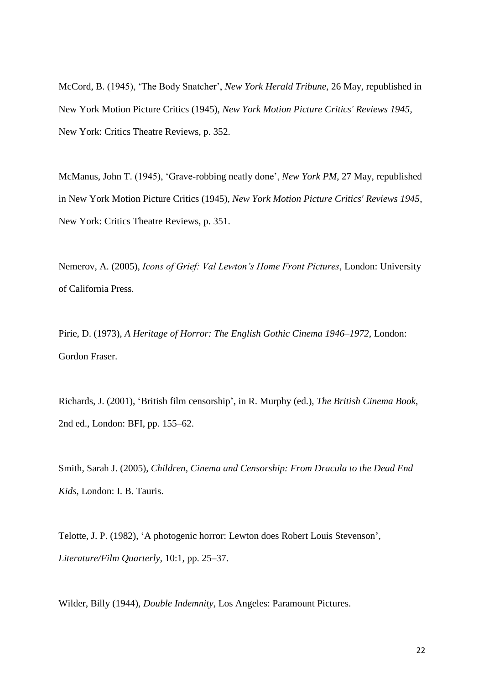McCord, B. (1945), 'The Body Snatcher', *New York Herald Tribune*, 26 May, republished in New York Motion Picture Critics (1945), *New York Motion Picture Critics' Reviews 1945*, New York: Critics Theatre Reviews, p. 352.

McManus, John T. (1945), 'Grave-robbing neatly done', *New York PM*, 27 May, republished in New York Motion Picture Critics (1945), *New York Motion Picture Critics' Reviews 1945*, New York: Critics Theatre Reviews, p. 351.

Nemerov, A. (2005), *Icons of Grief: Val Lewton's Home Front Pictures*, London: University of California Press.

Pirie, D. (1973), *A Heritage of Horror: The English Gothic Cinema 1946–1972*, London: Gordon Fraser.

Richards, J. (2001), 'British film censorship', in R. Murphy (ed.), *The British Cinema Book*, 2nd ed., London: BFI, pp. 155–62.

Smith, Sarah J. (2005), *Children, Cinema and Censorship: From Dracula to the Dead End Kids*, London: I. B. Tauris.

Telotte, J. P. (1982), 'A photogenic horror: Lewton does Robert Louis Stevenson', *Literature/Film Quarterly*, 10:1, pp. 25–37.

Wilder, Billy (1944), *Double Indemnity*, Los Angeles: Paramount Pictures.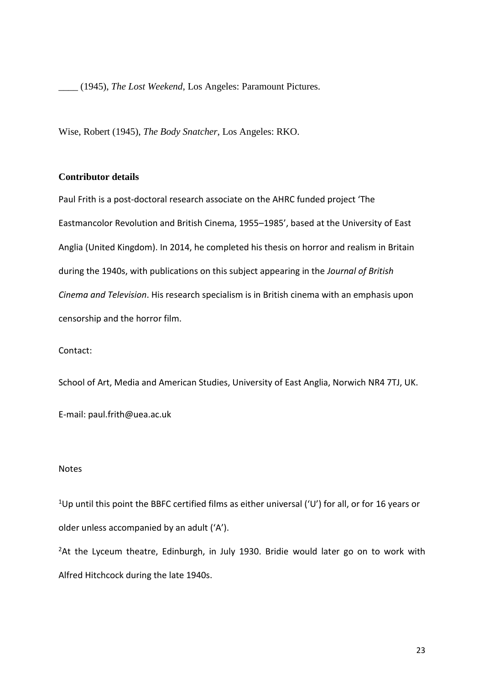\_\_\_\_ (1945), *The Lost Weekend*, Los Angeles: Paramount Pictures.

Wise, Robert (1945), *The Body Snatcher*, Los Angeles: RKO.

# **Contributor details**

Paul Frith is a post-doctoral research associate on the AHRC funded project 'The Eastmancolor Revolution and British Cinema, 1955–1985', based at the University of East Anglia (United Kingdom). In 2014, he completed his thesis on horror and realism in Britain during the 1940s, with publications on this subject appearing in the *Journal of British Cinema and Television*. His research specialism is in British cinema with an emphasis upon censorship and the horror film.

Contact:

School of Art, Media and American Studies, University of East Anglia, Norwich NR4 7TJ, UK. E-mail: paul.frith@uea.ac.uk

#### Notes

<sup>1</sup>Up until this point the BBFC certified films as either universal ('U') for all, or for 16 years or older unless accompanied by an adult ('A').

 $2$ At the Lyceum theatre, Edinburgh, in July 1930. Bridie would later go on to work with Alfred Hitchcock during the late 1940s.